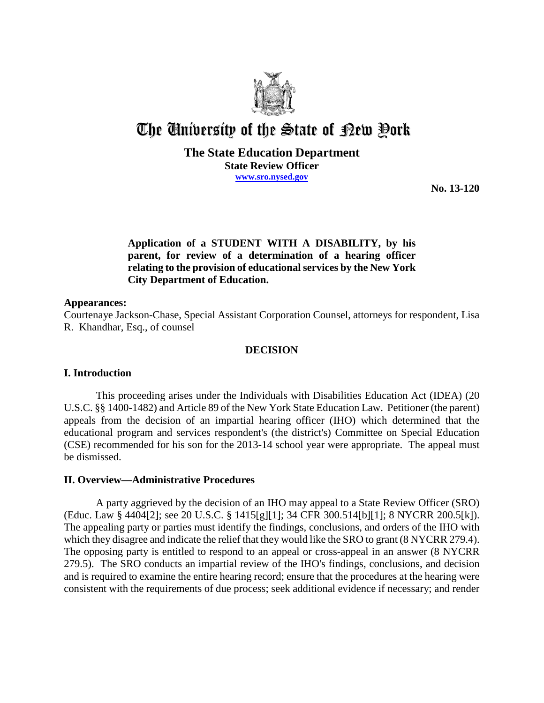

# The University of the State of Pew Pork

## **The State Education Department State Review Officer www.sro.nysed.gov**

**No. 13-120** 

## **Application of a STUDENT WITH A DISABILITY, by his parent, for review of a determination of a hearing officer relating to the provision of educational services by the New York City Department of Education.**

#### **Appearances:**

Courtenaye Jackson-Chase, Special Assistant Corporation Counsel, attorneys for respondent, Lisa R. Khandhar, Esq., of counsel

## **DECISION**

## **I. Introduction**

This proceeding arises under the Individuals with Disabilities Education Act (IDEA) (20 U.S.C. §§ 1400-1482) and Article 89 of the New York State Education Law. Petitioner (the parent) appeals from the decision of an impartial hearing officer (IHO) which determined that the educational program and services respondent's (the district's) Committee on Special Education (CSE) recommended for his son for the 2013-14 school year were appropriate. The appeal must be dismissed.

## **II. Overview—Administrative Procedures**

A party aggrieved by the decision of an IHO may appeal to a State Review Officer (SRO) (Educ. Law § 4404[2]; see 20 U.S.C. § 1415[g][1]; 34 CFR 300.514[b][1]; 8 NYCRR 200.5[k]). The appealing party or parties must identify the findings, conclusions, and orders of the IHO with which they disagree and indicate the relief that they would like the SRO to grant (8 NYCRR 279.4). The opposing party is entitled to respond to an appeal or cross-appeal in an answer (8 NYCRR 279.5). The SRO conducts an impartial review of the IHO's findings, conclusions, and decision and is required to examine the entire hearing record; ensure that the procedures at the hearing were consistent with the requirements of due process; seek additional evidence if necessary; and render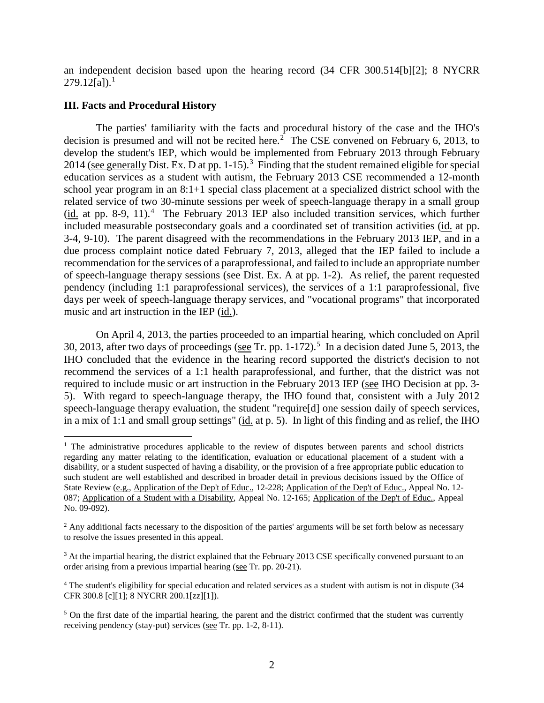an independent decision based upon the hearing record (34 CFR 300.514[b][2]; 8 NYCRR  $279.12[a]$ .<sup>1</sup>

#### **III. Facts and Procedural History**

The parties' familiarity with the facts and procedural history of the case and the IHO's decision is presumed and will not be recited here.<sup>2</sup> The CSE convened on February 6, 2013, to develop the student's IEP, which would be implemented from February 2013 through February 2014 (see generally Dist. Ex. D at pp. 1-15).<sup>3</sup> Finding that the student remained eligible for special education services as a student with autism, the February 2013 CSE recommended a 12-month school year program in an 8:1+1 special class placement at a specialized district school with the related service of two 30-minute sessions per week of speech-language therapy in a small group  $(i<sub>d</sub>$  at pp. 8-9, 11).<sup>4</sup> The February 2013 IEP also included transition services, which further included measurable postsecondary goals and a coordinated set of transition activities (id. at pp. 3-4, 9-10). The parent disagreed with the recommendations in the February 2013 IEP, and in a due process complaint notice dated February 7, 2013, alleged that the IEP failed to include a recommendation for the services of a paraprofessional, and failed to include an appropriate number of speech-language therapy sessions (see Dist. Ex. A at pp. 1-2). As relief, the parent requested pendency (including 1:1 paraprofessional services), the services of a 1:1 paraprofessional, five days per week of speech-language therapy services, and "vocational programs" that incorporated music and art instruction in the IEP (id.).

On April 4, 2013, the parties proceeded to an impartial hearing, which concluded on April 30, 2013, after two days of proceedings (see Tr. pp.  $1-172$ ).<sup>5</sup> In a decision dated June 5, 2013, the IHO concluded that the evidence in the hearing record supported the district's decision to not recommend the services of a 1:1 health paraprofessional, and further, that the district was not required to include music or art instruction in the February 2013 IEP (see IHO Decision at pp. 3- 5). With regard to speech-language therapy, the IHO found that, consistent with a July 2012 speech-language therapy evaluation, the student "require[d] one session daily of speech services, in a mix of 1:1 and small group settings" (id. at p. 5). In light of this finding and as relief, the IHO

<sup>&</sup>lt;sup>1</sup> The administrative procedures applicable to the review of disputes between parents and school districts regarding any matter relating to the identification, evaluation or educational placement of a student with a disability, or a student suspected of having a disability, or the provision of a free appropriate public education to such student are well established and described in broader detail in previous decisions issued by the Office of State Review (e.g., Application of the Dep't of Educ., 12-228; Application of the Dep't of Educ., Appeal No. 12-087; Application of a Student with a Disability, Appeal No. 12-165; Application of the Dep't of Educ., Appeal No. 09-092).

<sup>&</sup>lt;sup>2</sup> Any additional facts necessary to the disposition of the parties' arguments will be set forth below as necessary to resolve the issues presented in this appeal.

<sup>&</sup>lt;sup>3</sup> At the impartial hearing, the district explained that the February 2013 CSE specifically convened pursuant to an order arising from a previous impartial hearing (see Tr. pp. 20-21).

<sup>4</sup> The student's eligibility for special education and related services as a student with autism is not in dispute (34 CFR 300.8 [c][1]; 8 NYCRR 200.1[zz][1]).

<sup>&</sup>lt;sup>5</sup> On the first date of the impartial hearing, the parent and the district confirmed that the student was currently receiving pendency (stay-put) services (see Tr. pp. 1-2, 8-11).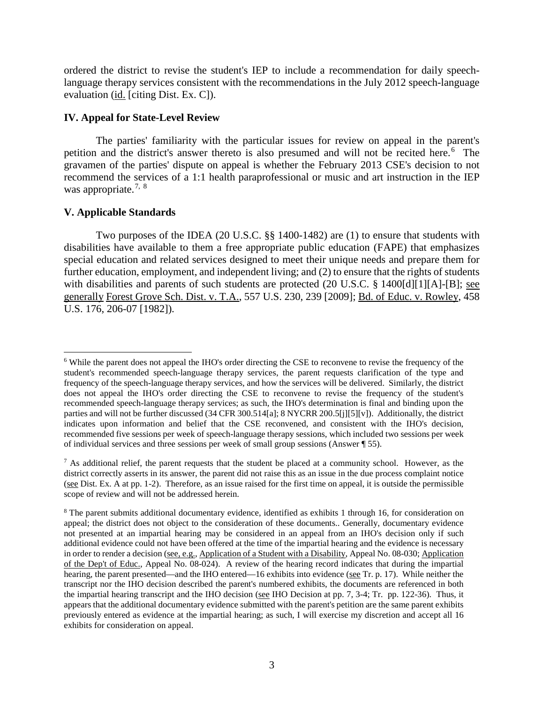ordered the district to revise the student's IEP to include a recommendation for daily speechlanguage therapy services consistent with the recommendations in the July 2012 speech-language evaluation (id. [citing Dist. Ex. C]).

#### **IV. Appeal for State-Level Review**

The parties' familiarity with the particular issues for review on appeal in the parent's petition and the district's answer thereto is also presumed and will not be recited here.<sup>6</sup> The gravamen of the parties' dispute on appeal is whether the February 2013 CSE's decision to not recommend the services of a 1:1 health paraprofessional or music and art instruction in the IEP was appropriate.<sup>7, 8</sup>

## **V. Applicable Standards**

Two purposes of the IDEA (20 U.S.C. §§ 1400-1482) are (1) to ensure that students with disabilities have available to them a free appropriate public education (FAPE) that emphasizes special education and related services designed to meet their unique needs and prepare them for further education, employment, and independent living; and (2) to ensure that the rights of students with disabilities and parents of such students are protected (20 U.S.C. § 1400[d][1][A]-[B]; see generally Forest Grove Sch. Dist. v. T.A., 557 U.S. 230, 239 [2009]; Bd. of Educ. v. Rowley, 458 U.S. 176, 206-07 [1982]).

 <sup>6</sup> While the parent does not appeal the IHO's order directing the CSE to reconvene to revise the frequency of the student's recommended speech-language therapy services, the parent requests clarification of the type and frequency of the speech-language therapy services, and how the services will be delivered. Similarly, the district does not appeal the IHO's order directing the CSE to reconvene to revise the frequency of the student's recommended speech-language therapy services; as such, the IHO's determination is final and binding upon the parties and will not be further discussed (34 CFR 300.514[a]; 8 NYCRR 200.5[j][5][v]). Additionally, the district indicates upon information and belief that the CSE reconvened, and consistent with the IHO's decision, recommended five sessions per week of speech-language therapy sessions, which included two sessions per week of individual services and three sessions per week of small group sessions (Answer ¶ 55).

<sup>7</sup> As additional relief, the parent requests that the student be placed at a community school. However, as the district correctly asserts in its answer, the parent did not raise this as an issue in the due process complaint notice (see Dist. Ex. A at pp. 1-2). Therefore, as an issue raised for the first time on appeal, it is outside the permissible scope of review and will not be addressed herein.

<sup>&</sup>lt;sup>8</sup> The parent submits additional documentary evidence, identified as exhibits 1 through 16, for consideration on appeal; the district does not object to the consideration of these documents.. Generally, documentary evidence not presented at an impartial hearing may be considered in an appeal from an IHO's decision only if such additional evidence could not have been offered at the time of the impartial hearing and the evidence is necessary in order to render a decision (see, e.g., Application of a Student with a Disability, Appeal No. 08-030; Application of the Dep't of Educ., Appeal No. 08-024). A review of the hearing record indicates that during the impartial hearing, the parent presented—and the IHO entered—16 exhibits into evidence (see Tr. p. 17). While neither the transcript nor the IHO decision described the parent's numbered exhibits, the documents are referenced in both the impartial hearing transcript and the IHO decision (see IHO Decision at pp. 7, 3-4; Tr. pp. 122-36). Thus, it appears that the additional documentary evidence submitted with the parent's petition are the same parent exhibits previously entered as evidence at the impartial hearing; as such, I will exercise my discretion and accept all 16 exhibits for consideration on appeal.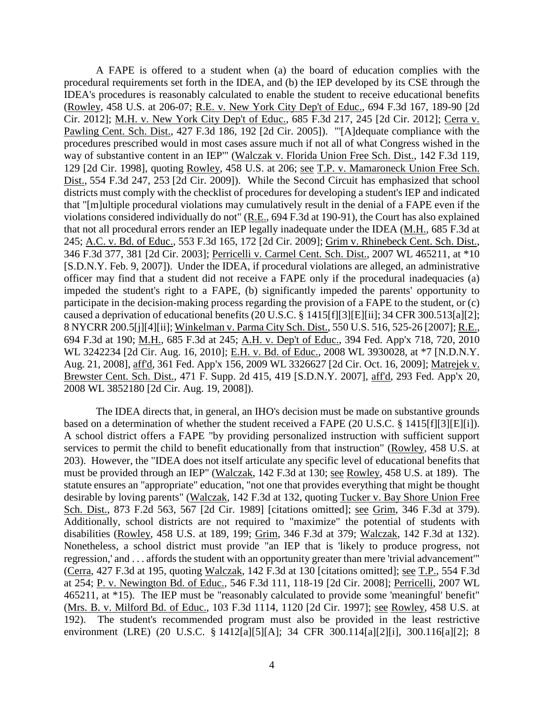A FAPE is offered to a student when (a) the board of education complies with the procedural requirements set forth in the IDEA, and (b) the IEP developed by its CSE through the IDEA's procedures is reasonably calculated to enable the student to receive educational benefits (Rowley, 458 U.S. at 206-07; R.E. v. New York City Dep't of Educ., 694 F.3d 167, 189-90 [2d Cir. 2012]; M.H. v. New York City Dep't of Educ., 685 F.3d 217, 245 [2d Cir. 2012]; Cerra v. Pawling Cent. Sch. Dist., 427 F.3d 186, 192 [2d Cir. 2005]). "'[A]dequate compliance with the procedures prescribed would in most cases assure much if not all of what Congress wished in the way of substantive content in an IEP'" (Walczak v. Florida Union Free Sch. Dist., 142 F.3d 119, 129 [2d Cir. 1998], quoting Rowley, 458 U.S. at 206; see T.P. v. Mamaroneck Union Free Sch. Dist., 554 F.3d 247, 253 [2d Cir. 2009]). While the Second Circuit has emphasized that school districts must comply with the checklist of procedures for developing a student's IEP and indicated that "[m]ultiple procedural violations may cumulatively result in the denial of a FAPE even if the violations considered individually do not" (R.E., 694 F.3d at 190-91), the Court has also explained that not all procedural errors render an IEP legally inadequate under the IDEA (M.H., 685 F.3d at 245; A.C. v. Bd. of Educ., 553 F.3d 165, 172 [2d Cir. 2009]; Grim v. Rhinebeck Cent. Sch. Dist., 346 F.3d 377, 381 [2d Cir. 2003]; Perricelli v. Carmel Cent. Sch. Dist., 2007 WL 465211, at \*10 [S.D.N.Y. Feb. 9, 2007]). Under the IDEA, if procedural violations are alleged, an administrative officer may find that a student did not receive a FAPE only if the procedural inadequacies (a) impeded the student's right to a FAPE, (b) significantly impeded the parents' opportunity to participate in the decision-making process regarding the provision of a FAPE to the student, or (c) caused a deprivation of educational benefits (20 U.S.C. § 1415[f][3][E][ii]; 34 CFR 300.513[a][2]; 8 NYCRR 200.5[j][4][ii]; Winkelman v. Parma City Sch. Dist., 550 U.S. 516, 525-26 [2007]; R.E., 694 F.3d at 190; M.H., 685 F.3d at 245; A.H. v. Dep't of Educ., 394 Fed. App'x 718, 720, 2010 WL 3242234 [2d Cir. Aug. 16, 2010]; E.H. v. Bd. of Educ., 2008 WL 3930028, at \*7 [N.D.N.Y. Aug. 21, 2008], aff'd, 361 Fed. App'x 156, 2009 WL 3326627 [2d Cir. Oct. 16, 2009]; Matrejek v. Brewster Cent. Sch. Dist., 471 F. Supp. 2d 415, 419 [S.D.N.Y. 2007], aff'd, 293 Fed. App'x 20, 2008 WL 3852180 [2d Cir. Aug. 19, 2008]).

The IDEA directs that, in general, an IHO's decision must be made on substantive grounds based on a determination of whether the student received a FAPE (20 U.S.C. § 1415[f][3][E][i]). A school district offers a FAPE "by providing personalized instruction with sufficient support services to permit the child to benefit educationally from that instruction" (Rowley, 458 U.S. at 203). However, the "IDEA does not itself articulate any specific level of educational benefits that must be provided through an IEP" (Walczak, 142 F.3d at 130; see Rowley, 458 U.S. at 189). The statute ensures an "appropriate" education, "not one that provides everything that might be thought desirable by loving parents" (Walczak, 142 F.3d at 132, quoting Tucker v. Bay Shore Union Free Sch. Dist., 873 F.2d 563, 567 [2d Cir. 1989] [citations omitted]; see Grim, 346 F.3d at 379). Additionally, school districts are not required to "maximize" the potential of students with disabilities (Rowley, 458 U.S. at 189, 199; Grim, 346 F.3d at 379; Walczak, 142 F.3d at 132). Nonetheless, a school district must provide "an IEP that is 'likely to produce progress, not regression,' and . . . affords the student with an opportunity greater than mere 'trivial advancement'" (Cerra, 427 F.3d at 195, quoting Walczak, 142 F.3d at 130 [citations omitted]; see T.P., 554 F.3d at 254; P. v. Newington Bd. of Educ., 546 F.3d 111, 118-19 [2d Cir. 2008]; Perricelli, 2007 WL 465211, at \*15). The IEP must be "reasonably calculated to provide some 'meaningful' benefit" (Mrs. B. v. Milford Bd. of Educ., 103 F.3d 1114, 1120 [2d Cir. 1997]; see Rowley, 458 U.S. at 192). The student's recommended program must also be provided in the least restrictive environment (LRE) (20 U.S.C. § 1412[a][5][A]; 34 CFR 300.114[a][2][i], 300.116[a][2]; 8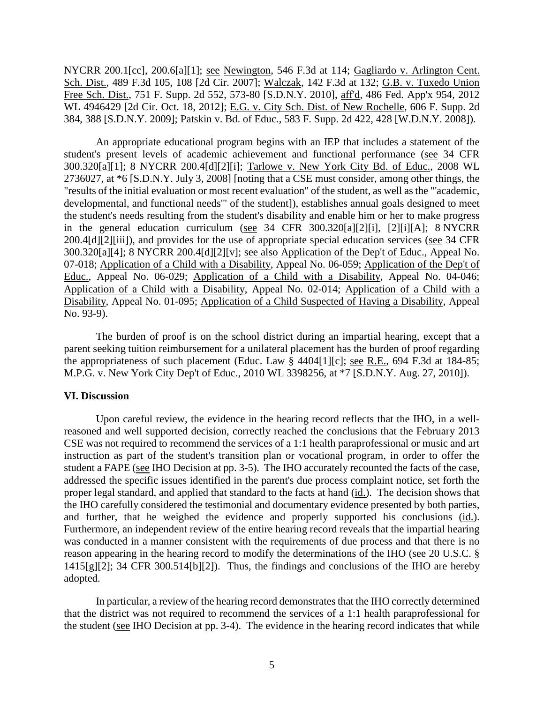NYCRR 200.1[cc], 200.6[a][1]; <u>see</u> Newington, 546 F.3d at 114; Gagliardo v. Arlington Cent. Sch. Dist., 489 F.3d 105, 108 [2d Cir. 2007]; Walczak, 142 F.3d at 132; G.B. v. Tuxedo Union Free Sch. Dist., 751 F. Supp. 2d 552, 573-80 [S.D.N.Y. 2010], aff'd, 486 Fed. App'x 954, 2012 WL 4946429 [2d Cir. Oct. 18, 2012]; E.G. v. City Sch. Dist. of New Rochelle, 606 F. Supp. 2d 384, 388 [S.D.N.Y. 2009]; Patskin v. Bd. of Educ., 583 F. Supp. 2d 422, 428 [W.D.N.Y. 2008]).

An appropriate educational program begins with an IEP that includes a statement of the student's present levels of academic achievement and functional performance (see 34 CFR 300.320[a][1]; 8 NYCRR 200.4[d][2][i]; Tarlowe v. New York City Bd. of Educ., 2008 WL 2736027, at \*6 [S.D.N.Y. July 3, 2008] [noting that a CSE must consider, among other things, the "results of the initial evaluation or most recent evaluation" of the student, as well as the "'academic, developmental, and functional needs'" of the student]), establishes annual goals designed to meet the student's needs resulting from the student's disability and enable him or her to make progress in the general education curriculum (see 34 CFR 300.320[a][2][i], [2][i][A]; 8 NYCRR 200.4[d][2][iii]), and provides for the use of appropriate special education services (see 34 CFR 300.320[a][4]; 8 NYCRR 200.4[d][2][v]; see also Application of the Dep't of Educ., Appeal No. 07-018; Application of a Child with a Disability, Appeal No. 06-059; Application of the Dep't of Educ., Appeal No. 06-029; Application of a Child with a Disability, Appeal No. 04-046; Application of a Child with a Disability, Appeal No. 02-014; Application of a Child with a Disability, Appeal No. 01-095; Application of a Child Suspected of Having a Disability, Appeal No. 93-9).

The burden of proof is on the school district during an impartial hearing, except that a parent seeking tuition reimbursement for a unilateral placement has the burden of proof regarding the appropriateness of such placement (Educ. Law  $\frac{8}{3}$  4404[1][c]; see R.E., 694 F.3d at 184-85; M.P.G. v. New York City Dep't of Educ., 2010 WL 3398256, at \*7 [S.D.N.Y. Aug. 27, 2010]).

#### **VI. Discussion**

Upon careful review, the evidence in the hearing record reflects that the IHO, in a wellreasoned and well supported decision, correctly reached the conclusions that the February 2013 CSE was not required to recommend the services of a 1:1 health paraprofessional or music and art instruction as part of the student's transition plan or vocational program, in order to offer the student a FAPE (see IHO Decision at pp. 3-5). The IHO accurately recounted the facts of the case, addressed the specific issues identified in the parent's due process complaint notice, set forth the proper legal standard, and applied that standard to the facts at hand (id.). The decision shows that the IHO carefully considered the testimonial and documentary evidence presented by both parties, and further, that he weighed the evidence and properly supported his conclusions (id.). Furthermore, an independent review of the entire hearing record reveals that the impartial hearing was conducted in a manner consistent with the requirements of due process and that there is no reason appearing in the hearing record to modify the determinations of the IHO (see 20 U.S.C. §  $1415[g][2]$ ; 34 CFR 300.514[b][2]). Thus, the findings and conclusions of the IHO are hereby adopted.

In particular, a review of the hearing record demonstrates that the IHO correctly determined that the district was not required to recommend the services of a 1:1 health paraprofessional for the student (see IHO Decision at pp. 3-4). The evidence in the hearing record indicates that while